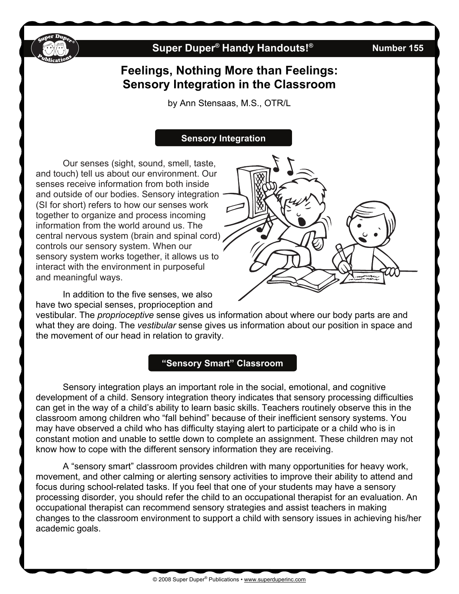

# **Super Duper® Handy Handouts!® Number 155**

# **Feelings, Nothing More than Feelings: Sensory Integration in the Classroom**

by Ann Stensaas, M.S., OTR/L

### **Sensory Integration**

Our senses (sight, sound, smell, taste, and touch) tell us about our environment. Our senses receive information from both inside and outside of our bodies. Sensory integration (SI for short) refers to how our senses work together to organize and process incoming information from the world around us. The central nervous system (brain and spinal cord) controls our sensory system. When our sensory system works together, it allows us to interact with the environment in purposeful and meaningful ways.

 In addition to the five senses, we also have two special senses, proprioception and

vestibular. The *proprioceptive* sense gives us information about where our body parts are and what they are doing. The *vestibular* sense gives us information about our position in space and the movement of our head in relation to gravity.

#### **"Sensory Smart" Classroom**

 Sensory integration plays an important role in the social, emotional, and cognitive development of a child. Sensory integration theory indicates that sensory processing difficulties can get in the way of a child's ability to learn basic skills. Teachers routinely observe this in the classroom among children who "fall behind" because of their inefficient sensory systems. You may have observed a child who has difficulty staying alert to participate or a child who is in constant motion and unable to settle down to complete an assignment. These children may not know how to cope with the different sensory information they are receiving.

 A "sensory smart" classroom provides children with many opportunities for heavy work, movement, and other calming or alerting sensory activities to improve their ability to attend and focus during school-related tasks. If you feel that one of your students may have a sensory processing disorder, you should refer the child to an occupational therapist for an evaluation. An occupational therapist can recommend sensory strategies and assist teachers in making changes to the classroom environment to support a child with sensory issues in achieving his/her academic goals.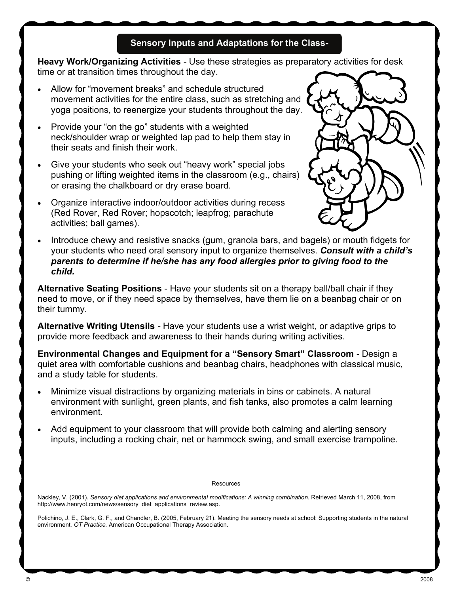## **Sensory Inputs and Adaptations for the Class-**

**Heavy Work/Organizing Activities** *-* Use these strategies as preparatory activities for desk time or at transition times throughout the day.

- Allow for "movement breaks" and schedule structured movement activities for the entire class, such as stretching and yoga positions, to reenergize your students throughout the day.
- Provide your "on the go" students with a weighted neck/shoulder wrap or weighted lap pad to help them stay in their seats and finish their work.
- Give your students who seek out "heavy work" special jobs pushing or lifting weighted items in the classroom (e.g., chairs) or erasing the chalkboard or dry erase board.
- Organize interactive indoor/outdoor activities during recess (Red Rover, Red Rover; hopscotch; leapfrog; parachute activities; ball games).



 Introduce chewy and resistive snacks (gum, granola bars, and bagels) or mouth fidgets for your students who need oral sensory input to organize themselves. *Consult with a child's parents to determine if he/she has any food allergies prior to giving food to the child.* 

**Alternative Seating Positions** - Have your students sit on a therapy ball/ball chair if they need to move, or if they need space by themselves, have them lie on a beanbag chair or on their tummy.

**Alternative Writing Utensils** *-* Have your students use a wrist weight, or adaptive grips to provide more feedback and awareness to their hands during writing activities.

**Environmental Changes and Equipment for a "Sensory Smart" Classroom** *-* Design a quiet area with comfortable cushions and beanbag chairs, headphones with classical music, and a study table for students.

- Minimize visual distractions by organizing materials in bins or cabinets. A natural environment with sunlight, green plants, and fish tanks, also promotes a calm learning environment.
- Add equipment to your classroom that will provide both calming and alerting sensory inputs, including a rocking chair, net or hammock swing, and small exercise trampoline.

#### Resources

Nackley, V. (2001). *Sensory diet applications and environmental modifications: A winning combination.* Retrieved March 11, 2008, from http://www.henryot.com/news/sensory\_diet\_applications\_review.asp.

Polichino, J. E., Clark, G. F., and Chandler, B. (2005, February 21). Meeting the sensory needs at school: Supporting students in the natural environment*. OT Practice.* American Occupational Therapy Association.